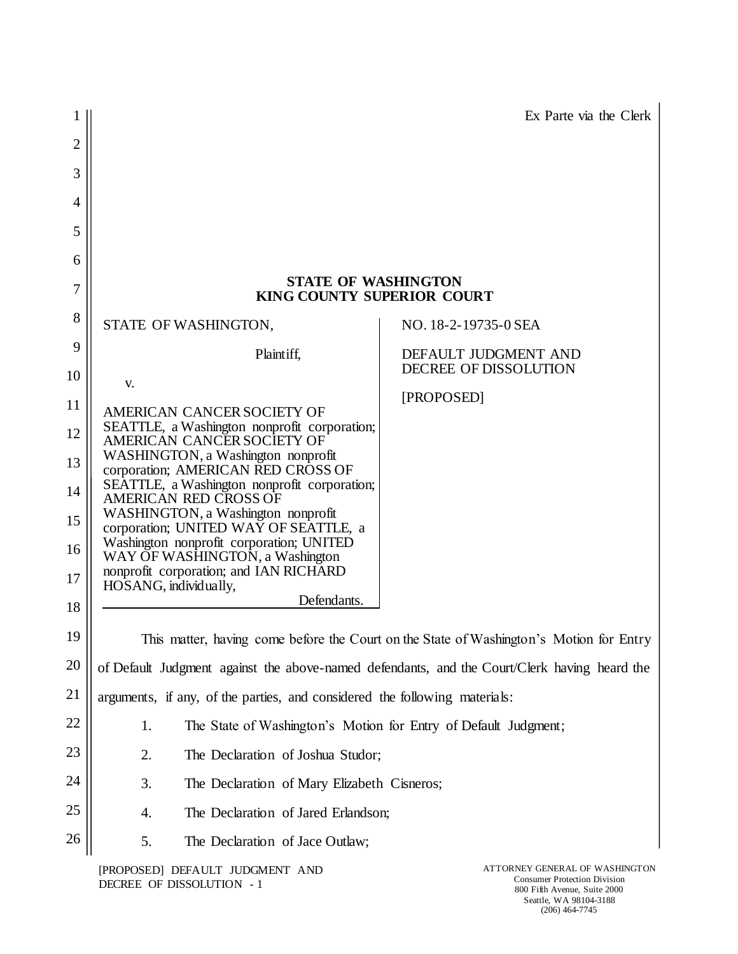|                |                                                                                                                                                                                                                                                                                                                                                      | Ex Parte via the Clerk                                                                                |  |  |
|----------------|------------------------------------------------------------------------------------------------------------------------------------------------------------------------------------------------------------------------------------------------------------------------------------------------------------------------------------------------------|-------------------------------------------------------------------------------------------------------|--|--|
| $\overline{2}$ |                                                                                                                                                                                                                                                                                                                                                      |                                                                                                       |  |  |
| 3              |                                                                                                                                                                                                                                                                                                                                                      |                                                                                                       |  |  |
| 4              |                                                                                                                                                                                                                                                                                                                                                      |                                                                                                       |  |  |
| 5              |                                                                                                                                                                                                                                                                                                                                                      |                                                                                                       |  |  |
| 6              |                                                                                                                                                                                                                                                                                                                                                      |                                                                                                       |  |  |
| 7              | <b>STATE OF WASHINGTON</b><br><b>KING COUNTY SUPERIOR COURT</b>                                                                                                                                                                                                                                                                                      |                                                                                                       |  |  |
| 8              | STATE OF WASHINGTON,                                                                                                                                                                                                                                                                                                                                 | NO. 18-2-19735-0 SEA                                                                                  |  |  |
| 9              | Plaintiff,                                                                                                                                                                                                                                                                                                                                           | DEFAULT JUDGMENT AND                                                                                  |  |  |
| 10             | V.                                                                                                                                                                                                                                                                                                                                                   | DECREE OF DISSOLUTION                                                                                 |  |  |
| 11             | AMERICAN CANCER SOCIETY OF<br>SEATTLE, a Washington nonprofit corporation;                                                                                                                                                                                                                                                                           | [PROPOSED]                                                                                            |  |  |
| 12             | AMERICAN CANCER SOCIETY OF<br>WASHINGTON, a Washington nonprofit<br>corporation; AMERICAN RED CROSS OF<br>SEATTLE, a Washington nonprofit corporation;<br><b>AMERICAN RED CROSS OF</b><br>WASHINGTON, a Washington nonprofit<br>corporation; UNITED WAY OF SEATTLE, a<br>Washington nonprofit corporation; UNITED<br>WAY OF WASHINGTON, a Washington |                                                                                                       |  |  |
| 13             |                                                                                                                                                                                                                                                                                                                                                      |                                                                                                       |  |  |
| 14             |                                                                                                                                                                                                                                                                                                                                                      |                                                                                                       |  |  |
| 15             |                                                                                                                                                                                                                                                                                                                                                      |                                                                                                       |  |  |
| 16             |                                                                                                                                                                                                                                                                                                                                                      |                                                                                                       |  |  |
| 17             | nonprofit corporation; and IAN RICHARD<br>HOSANG, individually,                                                                                                                                                                                                                                                                                      |                                                                                                       |  |  |
| 18             | Defendants.                                                                                                                                                                                                                                                                                                                                          |                                                                                                       |  |  |
| 19             |                                                                                                                                                                                                                                                                                                                                                      | This matter, having come before the Court on the State of Washington's Motion for Entry               |  |  |
| 20             | of Default Judgment against the above-named defendants, and the Court/Clerk having heard the                                                                                                                                                                                                                                                         |                                                                                                       |  |  |
| 21             | arguments, if any, of the parties, and considered the following materials:                                                                                                                                                                                                                                                                           |                                                                                                       |  |  |
| 22             | The State of Washington's Motion for Entry of Default Judgment;<br>1.                                                                                                                                                                                                                                                                                |                                                                                                       |  |  |
| 23             | 2.<br>The Declaration of Joshua Studor;                                                                                                                                                                                                                                                                                                              |                                                                                                       |  |  |
| 24             | 3.<br>The Declaration of Mary Elizabeth Cisneros;                                                                                                                                                                                                                                                                                                    |                                                                                                       |  |  |
| 25             | The Declaration of Jared Erlandson;<br>4.                                                                                                                                                                                                                                                                                                            |                                                                                                       |  |  |
| 26             | 5.<br>The Declaration of Jace Outlaw;                                                                                                                                                                                                                                                                                                                |                                                                                                       |  |  |
|                | [PROPOSED] DEFAULT JUDGMENT AND<br>DECREE OF DISSOLUTION - 1                                                                                                                                                                                                                                                                                         | ATTORNEY GENERAL OF WASHINGTON<br><b>Consumer Protection Division</b><br>800 Fifth Avenue, Suite 2000 |  |  |

800 Fifth Avenue, Suite 2000 Seattle, WA 98104-3188 (206) 464-7745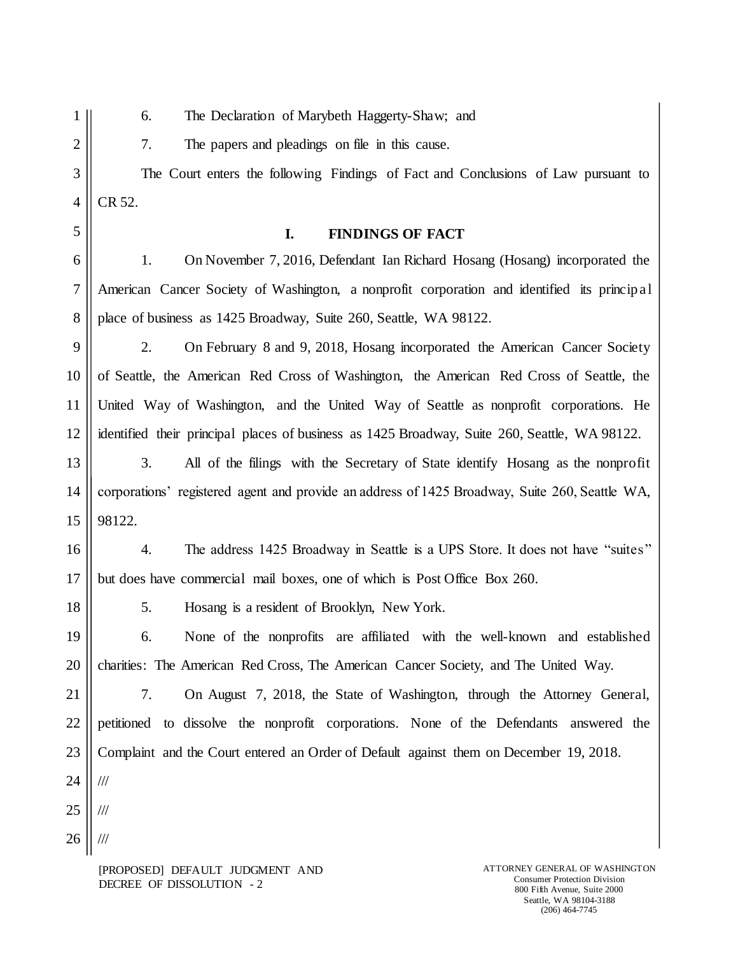- 1 2
- 6. The Declaration of Marybeth Haggerty-Shaw; and

7. The papers and pleadings on file in this cause.

3 4 The Court enters the following Findings of Fact and Conclusions of Law pursuant to CR 52.

5

## **I. FINDINGS OF FACT**

6 7 8 1. On November 7, 2016, Defendant Ian Richard Hosang (Hosang) incorporated the American Cancer Society of Washington, a nonprofit corporation and identified its princip al place of business as 1425 Broadway, Suite 260, Seattle, WA 98122.

9 10 11 12 2. On February 8 and 9, 2018, Hosang incorporated the American Cancer Society of Seattle, the American Red Cross of Washington, the American Red Cross of Seattle, the United Way of Washington, and the United Way of Seattle as nonprofit corporations. He identified their principal places of business as 1425 Broadway, Suite 260, Seattle, WA 98122.

13 14 15 3. All of the filings with the Secretary of State identify Hosang as the nonprofit corporations' registered agent and provide an address of 1425 Broadway, Suite 260, Seattle WA, 98122.

16 17 4. The address 1425 Broadway in Seattle is a UPS Store. It does not have "suites" but does have commercial mail boxes, one of which is Post Office Box 260.

5. Hosang is a resident of Brooklyn, New York.

19 20 6. None of the nonprofits are affiliated with the well-known and established charities: The American Red Cross, The American Cancer Society, and The United Way.

21 22 23 7. On August 7, 2018, the State of Washington, through the Attorney General, petitioned to dissolve the nonprofit corporations. None of the Defendants answered the Complaint and the Court entered an Order of Default against them on December 19, 2018.

24 ///

18

25

26 ///

///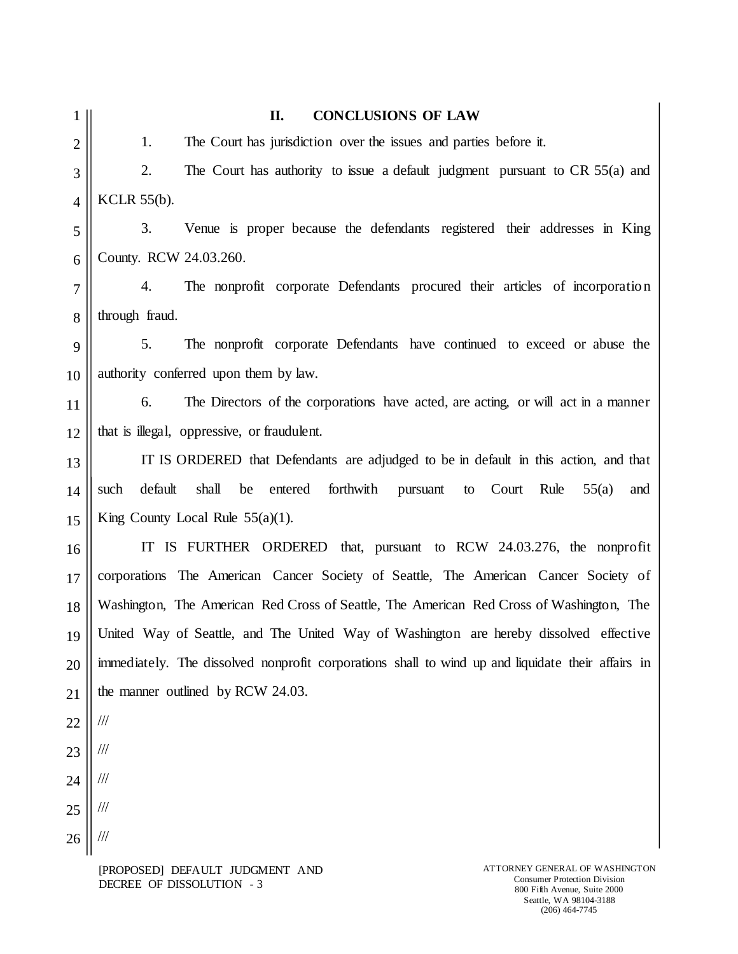| The Court has jurisdiction over the issues and parties before it.                                 |
|---------------------------------------------------------------------------------------------------|
|                                                                                                   |
| The Court has authority to issue a default judgment pursuant to CR 55(a) and                      |
| <b>KCLR 55(b).</b>                                                                                |
| Venue is proper because the defendants registered their addresses in King                         |
| County. RCW 24.03.260.                                                                            |
| The nonprofit corporate Defendants procured their articles of incorporation                       |
| through fraud.                                                                                    |
| The nonprofit corporate Defendants have continued to exceed or abuse the                          |
| authority conferred upon them by law.                                                             |
| The Directors of the corporations have acted, are acting, or will act in a manner                 |
| that is illegal, oppressive, or fraudulent.                                                       |
| IT IS ORDERED that Defendants are adjudged to be in default in this action, and that              |
| default<br>shall<br>forthwith<br>be<br>entered<br>Court<br>Rule<br>55(a)<br>pursuant<br>to<br>and |
| King County Local Rule $55(a)(1)$ .                                                               |
| IS FURTHER ORDERED that, pursuant to RCW 24.03.276, the nonprofit                                 |
| corporations The American Cancer Society of Seattle, The American Cancer Society of               |
| Washington, The American Red Cross of Seattle, The American Red Cross of Washington, The          |
| United Way of Seattle, and The United Way of Washington are hereby dissolved effective            |
| immediately. The dissolved nonprofit corporations shall to wind up and liquidate their affairs in |
| the manner outlined by RCW 24.03.                                                                 |
|                                                                                                   |
|                                                                                                   |
|                                                                                                   |
|                                                                                                   |
|                                                                                                   |
| IT                                                                                                |

[PROPOSED] DEFAULT JUDGMENT AND DECREE OF DISSOLUTION - 3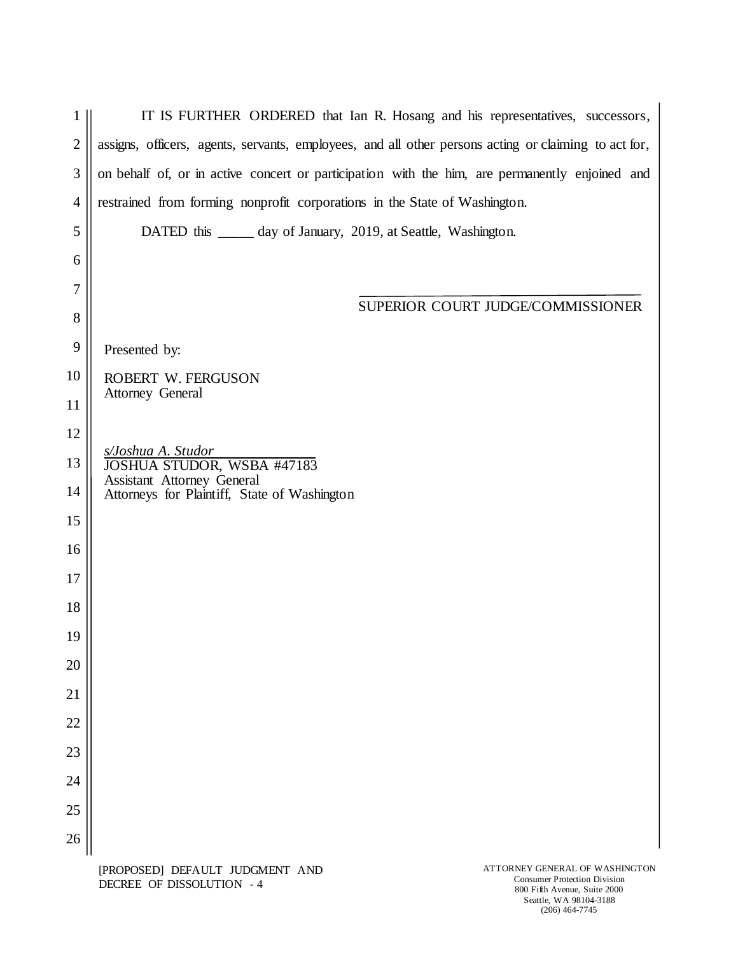| 1              | IT IS FURTHER ORDERED that Ian R. Hosang and his representatives, successors,                        |
|----------------|------------------------------------------------------------------------------------------------------|
| $\overline{2}$ | assigns, officers, agents, servants, employees, and all other persons acting or claiming to act for, |
| 3              | on behalf of, or in active concert or participation with the him, are permanently enjoined and       |
| $\overline{4}$ | restrained from forming nonprofit corporations in the State of Washington.                           |
| 5              | DATED this _______ day of January, 2019, at Seattle, Washington.                                     |
| 6              |                                                                                                      |
| 7              |                                                                                                      |
| 8              | SUPERIOR COURT JUDGE/COMMISSIONER                                                                    |
| 9              | Presented by:                                                                                        |
| 10             | ROBERT W. FERGUSON<br><b>Attorney General</b>                                                        |
| 11             |                                                                                                      |
| 12             | s/Joshua A. Studor                                                                                   |
| 13             | JOSHUA STUDOR, WSBA #47183                                                                           |
| 14             | Assistant Attorney General<br>Attorneys for Plaintiff, State of Washington                           |
| 15             |                                                                                                      |
| 16             |                                                                                                      |
| 17             |                                                                                                      |
| 18             |                                                                                                      |
| 19             |                                                                                                      |
| 20             |                                                                                                      |
| 21             |                                                                                                      |
| 22             |                                                                                                      |
| 23             |                                                                                                      |
| 24             |                                                                                                      |
| 25             |                                                                                                      |
| 26             |                                                                                                      |